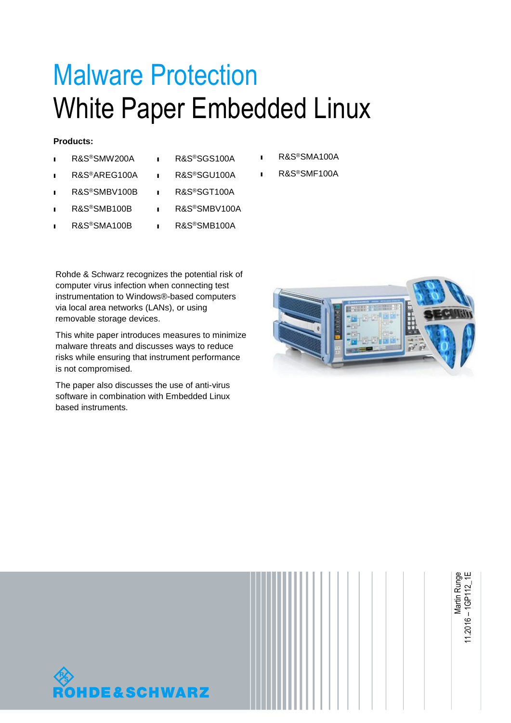# Malware Protection White Paper Embedded Linux

#### **Products:**

- ı R&S®SMW200A
- ı R&S®AREG100A
- ı R&S®SMBV100B
- ı R&S®SMB100B
- ı R&S®SMA100B
- ı R&S®SGS100A
- ı R&S®SGU100A
- ı R&S®SGT100A
- ı R&S®SMBV100A
- ı R&S®SMB100A

Rohde & Schwarz recognizes the potential risk of computer virus infection when connecting test instrumentation to Windows®-based computers via local area networks (LANs), or using removable storage devices.

This white paper introduces measures to minimize malware threats and discusses ways to reduce risks while ensuring that instrument performance is not compromised.

The paper also discusses the use of anti-virus software in combination with Embedded Linux based instruments.

- ı R&S®SMA100A
- ı R&S®SMF100A





<span id="page-0-0"></span>Martin Runge 11.2016 – 1GP112\_1E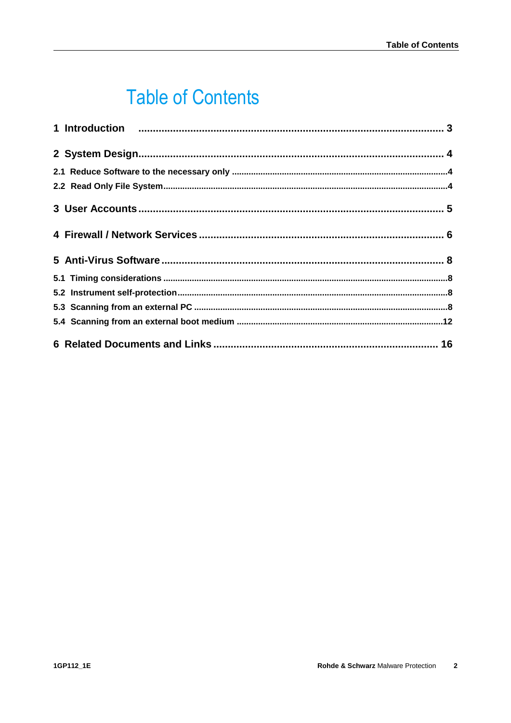# **Table of Contents**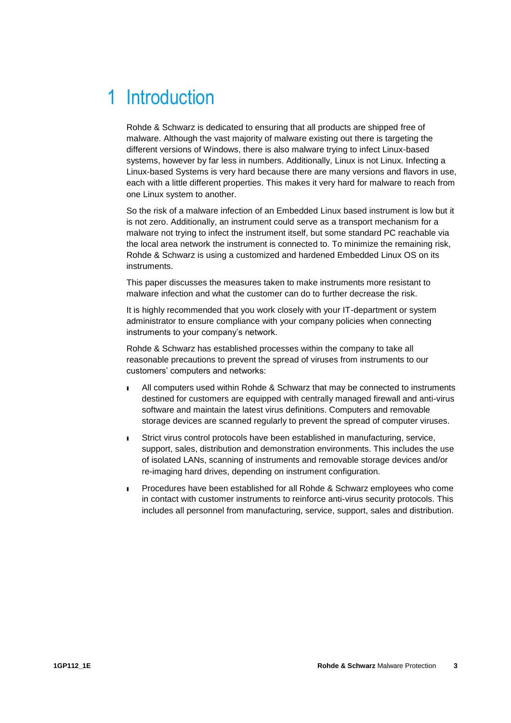# <span id="page-2-0"></span>1 Introduction

Rohde & Schwarz is dedicated to ensuring that all products are shipped free of malware. Although the vast majority of malware existing out there is targeting the different versions of Windows, there is also malware trying to infect Linux-based systems, however by far less in numbers. Additionally, Linux is not Linux. Infecting a Linux-based Systems is very hard because there are many versions and flavors in use, each with a little different properties. This makes it very hard for malware to reach from one Linux system to another.

So the risk of a malware infection of an Embedded Linux based instrument is low but it is not zero. Additionally, an instrument could serve as a transport mechanism for a malware not trying to infect the instrument itself, but some standard PC reachable via the local area network the instrument is connected to. To minimize the remaining risk, Rohde & Schwarz is using a customized and hardened Embedded Linux OS on its instruments.

This paper discusses the measures taken to make instruments more resistant to malware infection and what the customer can do to further decrease the risk.

It is highly recommended that you work closely with your IT-department or system administrator to ensure compliance with your company policies when connecting instruments to your company's network.

Rohde & Schwarz has established processes within the company to take all reasonable precautions to prevent the spread of viruses from instruments to our customers' computers and networks:

- ı All computers used within Rohde & Schwarz that may be connected to instruments destined for customers are equipped with centrally managed firewall and anti-virus software and maintain the latest virus definitions. Computers and removable storage devices are scanned regularly to prevent the spread of computer viruses.
- ı Strict virus control protocols have been established in manufacturing, service, support, sales, distribution and demonstration environments. This includes the use of isolated LANs, scanning of instruments and removable storage devices and/or re-imaging hard drives, depending on instrument configuration.
- ı Procedures have been established for all Rohde & Schwarz employees who come in contact with customer instruments to reinforce anti-virus security protocols. This includes all personnel from manufacturing, service, support, sales and distribution.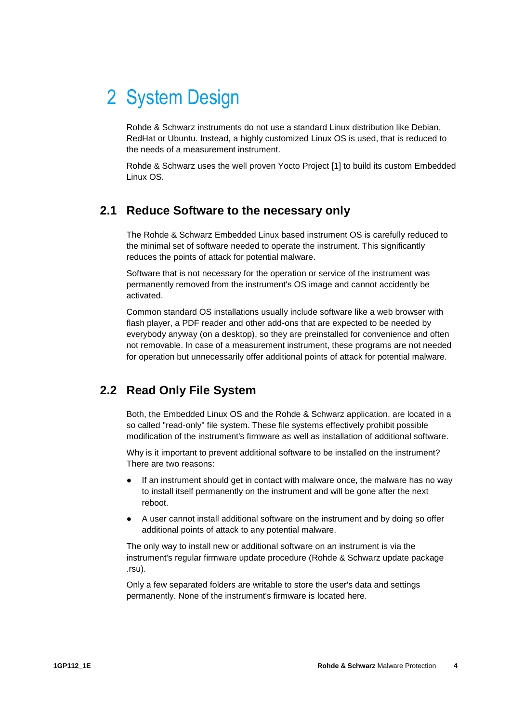# <span id="page-3-0"></span>2 System Design

Rohde & Schwarz instruments do not use a standard Linux distribution like Debian, RedHat or Ubuntu. Instead, a highly customized Linux OS is used, that is reduced to the needs of a measurement instrument.

<span id="page-3-1"></span>Rohde & Schwarz uses the well proven Yocto Project [1] to build its custom Embedded Linux OS.

#### **2.1 Reduce Software to the necessary only**

The Rohde & Schwarz Embedded Linux based instrument OS is carefully reduced to the minimal set of software needed to operate the instrument. This significantly reduces the points of attack for potential malware.

Software that is not necessary for the operation or service of the instrument was permanently removed from the instrument's OS image and cannot accidently be activated.

Common standard OS installations usually include software like a web browser with flash player, a PDF reader and other add-ons that are expected to be needed by everybody anyway (on a desktop), so they are preinstalled for convenience and often not removable. In case of a measurement instrument, these programs are not needed for operation but unnecessarily offer additional points of attack for potential malware.

### <span id="page-3-2"></span>**2.2 Read Only File System**

Both, the Embedded Linux OS and the Rohde & Schwarz application, are located in a so called "read-only" file system. These file systems effectively prohibit possible modification of the instrument's firmware as well as installation of additional software.

Why is it important to prevent additional software to be installed on the instrument? There are two reasons:

- If an instrument should get in contact with malware once, the malware has no way to install itself permanently on the instrument and will be gone after the next reboot.
- A user cannot install additional software on the instrument and by doing so offer additional points of attack to any potential malware.

The only way to install new or additional software on an instrument is via the instrument's regular firmware update procedure (Rohde & Schwarz update package .rsu).

Only a few separated folders are writable to store the user's data and settings permanently. None of the instrument's firmware is located here.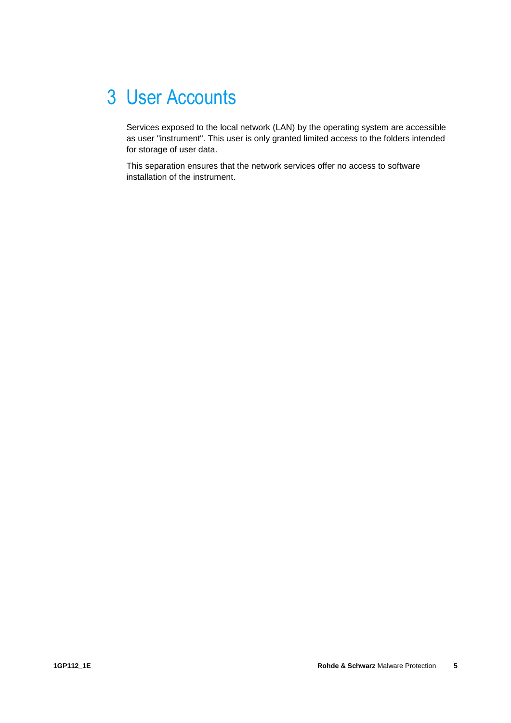# <span id="page-4-0"></span>3 User Accounts

Services exposed to the local network (LAN) by the operating system are accessible as user "instrument". This user is only granted limited access to the folders intended for storage of user data.

This separation ensures that the network services offer no access to software installation of the instrument.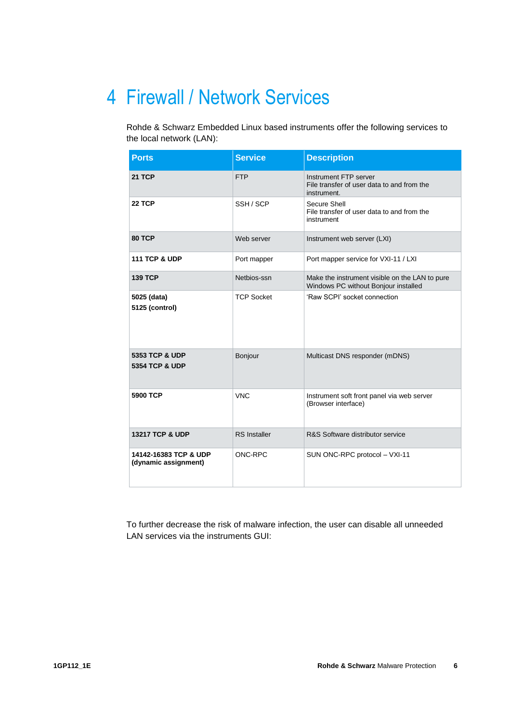# <span id="page-5-0"></span>4 Firewall / Network Services

Rohde & Schwarz Embedded Linux based instruments offer the following services to the local network (LAN):

| <b>Ports</b>                                           | <b>Service</b>      | <b>Description</b>                                                                     |
|--------------------------------------------------------|---------------------|----------------------------------------------------------------------------------------|
| <b>21 TCP</b>                                          | <b>FTP</b>          | Instrument FTP server<br>File transfer of user data to and from the<br>instrument.     |
| <b>22 TCP</b>                                          | SSH/SCP             | Secure Shell<br>File transfer of user data to and from the<br>instrument               |
| 80 TCP                                                 | Web server          | Instrument web server (LXI)                                                            |
| <b>111 TCP &amp; UDP</b>                               | Port mapper         | Port mapper service for VXI-11 / LXI                                                   |
| <b>139 TCP</b>                                         | Netbios-ssn         | Make the instrument visible on the LAN to pure<br>Windows PC without Bonjour installed |
| 5025 (data)<br>5125 (control)                          | <b>TCP Socket</b>   | 'Raw SCPI' socket connection                                                           |
| <b>5353 TCP &amp; UDP</b><br><b>5354 TCP &amp; UDP</b> | Bonjour             | Multicast DNS responder (mDNS)                                                         |
| <b>5900 TCP</b>                                        | <b>VNC</b>          | Instrument soft front panel via web server<br>(Browser interface)                      |
| <b>13217 TCP &amp; UDP</b>                             | <b>RS</b> Installer | R&S Software distributor service                                                       |
| 14142-16383 TCP & UDP<br>(dynamic assignment)          | ONC-RPC             | SUN ONC-RPC protocol - VXI-11                                                          |

To further decrease the risk of malware infection, the user can disable all unneeded LAN services via the instruments GUI: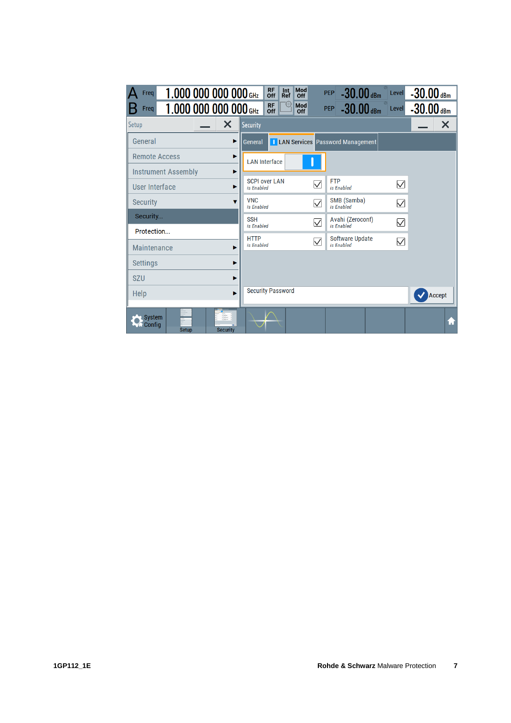| 1.000 000 000 000 GHz<br>Freq<br>1.000 000 000 000 GHz<br>Freq      | <b>RF</b><br>Mod<br>Int<br>$-30.00$ dBm<br>$-30.00$ dBm<br>Level<br><b>PEP</b><br>Off<br>Ref<br>Off<br>₩<br><b>RF</b><br>Mod<br>PEP -30.00 dBm<br>$-30.00$ dBm<br>Level<br>Off<br>Off |  |  |  |
|---------------------------------------------------------------------|---------------------------------------------------------------------------------------------------------------------------------------------------------------------------------------|--|--|--|
| ×<br>Setup                                                          | ×<br><b>Security</b>                                                                                                                                                                  |  |  |  |
| General<br>▶                                                        | <b>I LAN Services</b> Password Management<br>General                                                                                                                                  |  |  |  |
| <b>Remote Access</b><br>ь                                           | <b>LAN Interface</b>                                                                                                                                                                  |  |  |  |
| <b>Instrument Assembly</b><br>▶                                     |                                                                                                                                                                                       |  |  |  |
| User Interface<br>ь                                                 | <b>SCPI over LAN</b><br><b>FTP</b><br>$\bigtriangledown$<br>$\bigtriangledown$<br>is Enabled<br>is Enabled                                                                            |  |  |  |
| <b>Security</b>                                                     | <b>VNC</b><br>SMB (Samba)<br>$\overline{\vee}$<br>$\triangledown$<br>is Enabled<br>is Enabled                                                                                         |  |  |  |
| Security                                                            | <b>SSH</b><br>Avahi (Zeroconf)<br>$\overline{\vee}$<br>$\overline{\vee}$                                                                                                              |  |  |  |
| Protection                                                          | is Enabled<br>is Enabled                                                                                                                                                              |  |  |  |
| Maintenance                                                         | <b>Software Update</b><br><b>HTTP</b><br>$\bigtriangledown$<br>$\triangledown$<br>is Enabled<br>is Enabled                                                                            |  |  |  |
| <b>Settings</b>                                                     |                                                                                                                                                                                       |  |  |  |
| <b>SZU</b>                                                          |                                                                                                                                                                                       |  |  |  |
| Help<br>ь                                                           | <b>Security Password</b><br>Accept                                                                                                                                                    |  |  |  |
| <b>System</b><br><b>A</b> Config<br><b>Setup</b><br><b>Security</b> | Ħ                                                                                                                                                                                     |  |  |  |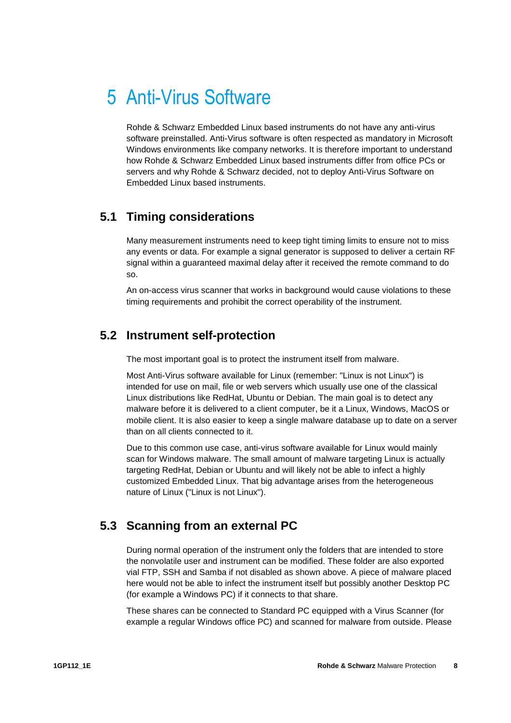## <span id="page-7-0"></span>5 Anti-Virus Software

Rohde & Schwarz Embedded Linux based instruments do not have any anti-virus software preinstalled. Anti-Virus software is often respected as mandatory in Microsoft Windows environments like company networks. It is therefore important to understand how Rohde & Schwarz Embedded Linux based instruments differ from office PCs or servers and why Rohde & Schwarz decided, not to deploy Anti-Virus Software on Embedded Linux based instruments.

### <span id="page-7-1"></span>**5.1 Timing considerations**

Many measurement instruments need to keep tight timing limits to ensure not to miss any events or data. For example a signal generator is supposed to deliver a certain RF signal within a guaranteed maximal delay after it received the remote command to do so.

<span id="page-7-2"></span>An on-access virus scanner that works in background would cause violations to these timing requirements and prohibit the correct operability of the instrument.

### **5.2 Instrument self-protection**

The most important goal is to protect the instrument itself from malware.

Most Anti-Virus software available for Linux (remember: "Linux is not Linux") is intended for use on mail, file or web servers which usually use one of the classical Linux distributions like RedHat, Ubuntu or Debian. The main goal is to detect any malware before it is delivered to a client computer, be it a Linux, Windows, MacOS or mobile client. It is also easier to keep a single malware database up to date on a server than on all clients connected to it.

Due to this common use case, anti-virus software available for Linux would mainly scan for Windows malware. The small amount of malware targeting Linux is actually targeting RedHat, Debian or Ubuntu and will likely not be able to infect a highly customized Embedded Linux. That big advantage arises from the heterogeneous nature of Linux ("Linux is not Linux").

### <span id="page-7-3"></span>**5.3 Scanning from an external PC**

During normal operation of the instrument only the folders that are intended to store the nonvolatile user and instrument can be modified. These folder are also exported vial FTP, SSH and Samba if not disabled as shown above. A piece of malware placed here would not be able to infect the instrument itself but possibly another Desktop PC (for example a Windows PC) if it connects to that share.

These shares can be connected to Standard PC equipped with a Virus Scanner (for example a regular Windows office PC) and scanned for malware from outside. Please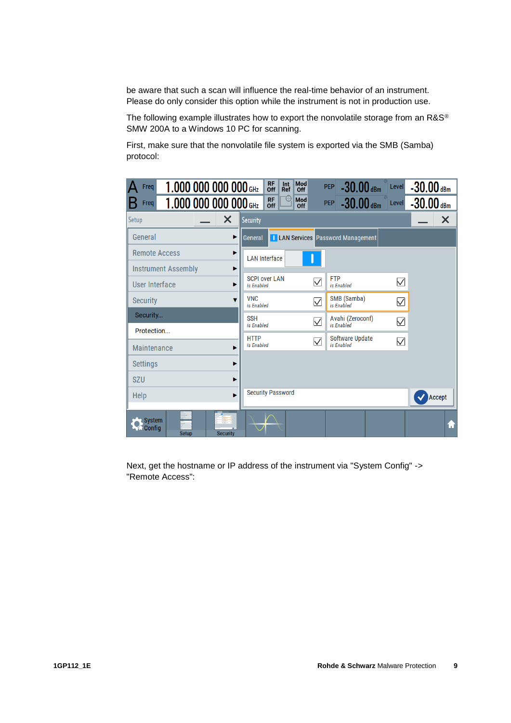be aware that such a scan will influence the real-time behavior of an instrument. Please do only consider this option while the instrument is not in production use.

The following example illustrates how to export the nonvolatile storage from an R&S<sup>®</sup> SMW 200A to a Windows 10 PC for scanning.

First, make sure that the nonvolatile file system is exported via the SMB (Samba) protocol:

| 1.000 000 000 000 GHz<br>Freq                                     | <b>RF</b><br>Mod<br>Int<br>$-30.00$ dBm<br>$-30.00$ dBm<br><b>PEP</b><br>Level<br>Off<br><b>Ref</b><br>Off |
|-------------------------------------------------------------------|------------------------------------------------------------------------------------------------------------|
| 1,000 000 000 000 GHz<br>Freq                                     | <b>RF</b><br>$\oplus$<br>Mod<br>PEP -30.00 dBm<br>$-30.00$ dBm<br>Level<br>$\overline{Off}$<br>Off         |
| $\boldsymbol{\mathsf{x}}$<br>Setup                                | ×<br>Security                                                                                              |
| General<br>▶                                                      | <b>LAN Services</b> Password Management<br>General                                                         |
| <b>Remote Access</b>                                              | <b>LAN Interface</b>                                                                                       |
| <b>Instrument Assembly</b><br>▶                                   |                                                                                                            |
| <b>User Interface</b>                                             | <b>SCPI over LAN</b><br><b>FTP</b><br>$\triangledown$<br>$\triangledown$<br>is Enabled<br>is Enabled       |
| <b>Security</b>                                                   | <b>VNC</b><br>SMB (Samba)<br>$\overline{\vee}$<br>$\overline{\vee}$<br>is Enabled<br>is Enabled            |
| Security                                                          | <b>SSH</b><br>Avahi (Zeroconf)<br>$\overline{\vee}$<br>$\overline{\vee}$<br>is Enabled<br>is Enabled       |
| Protection                                                        | <b>HTTP</b><br><b>Software Update</b>                                                                      |
| <b>Maintenance</b>                                                | $\blacktriangledown$<br>$\triangledown$<br>is Enabled<br>is Enabled                                        |
| <b>Settings</b>                                                   |                                                                                                            |
| <b>SZU</b>                                                        |                                                                                                            |
| Help<br>ь                                                         | <b>Security Password</b><br>Accept                                                                         |
| <b>System</b><br><b>Config</b><br><b>Security</b><br><b>Setup</b> | Ħ                                                                                                          |

Next, get the hostname or IP address of the instrument via "System Config" -> "Remote Access":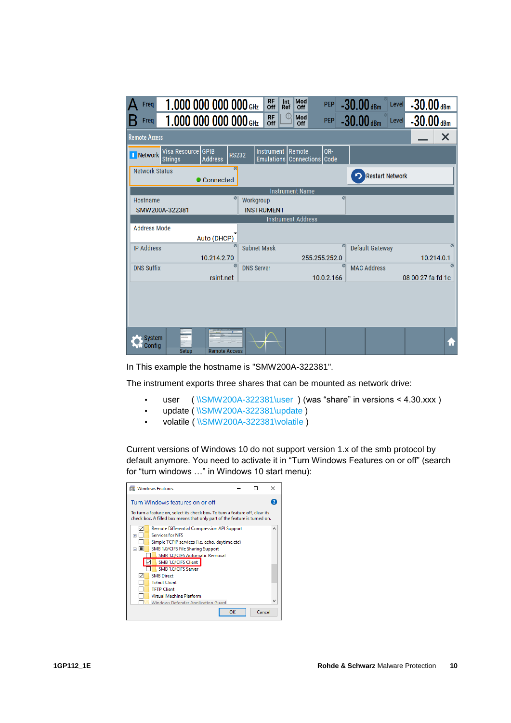| 1.000 000 000 000 GHz<br>Freq                                                       | <b>RF</b><br>Mod<br>Int<br>Off<br>Ref<br>Off<br>₩<br><b>RF</b><br>Mod | $-30.00$ dBm<br>$-30.00$ dBm<br><b>PEP</b><br>Level              |
|-------------------------------------------------------------------------------------|-----------------------------------------------------------------------|------------------------------------------------------------------|
| 1,000 000 000 000 GHz<br><b>Freq</b>                                                | Off<br>Off                                                            | $-30.00$ dBm<br>$-30.00$ dBm<br><b>PEP</b><br>Level              |
| <b>Remote Access</b>                                                                |                                                                       | ×                                                                |
| Visa Resource GPIB<br><b>RS232</b><br>I Network<br><b>Address</b><br><b>Strings</b> | Instrument<br>Remote<br>Emulations Connections Code                   | QR-                                                              |
| ø<br><b>Network Status</b><br>Connected                                             |                                                                       | <b>Restart Network</b>                                           |
|                                                                                     | <b>Instrument Name</b>                                                |                                                                  |
| ø<br>Hostname                                                                       | Workgroup                                                             | Ø                                                                |
| SMW200A-322381                                                                      | <b>INSTRUMENT</b>                                                     |                                                                  |
|                                                                                     | <b>Instrument Address</b>                                             |                                                                  |
| <b>Address Mode</b><br>Auto (DHCP)                                                  |                                                                       |                                                                  |
| <b>IP Address</b>                                                                   | <b>Subnet Mask</b>                                                    | ø<br>Ø<br><b>Default Gateway</b>                                 |
| 10.214.2.70                                                                         | 255.255.252.0                                                         | 10.214.0.1                                                       |
| ø<br><b>DNS Suffix</b>                                                              | <b>DNS Server</b>                                                     | $\overline{\mathcal{O}}$<br>$\overline{o}$<br><b>MAC Address</b> |
| rsint.net                                                                           |                                                                       | 10.0.2.166<br>08 00 27 fa fd 1c                                  |
|                                                                                     |                                                                       |                                                                  |
| <b>System</b><br>Config<br><b>Setup</b><br><b>Remote Access</b>                     |                                                                       | Ħ                                                                |

In This example the hostname is "SMW200A-322381".

The instrument exports three shares that can be mounted as network drive:

- user ( [\\SMW200A-322381\user](file://///SMW200A-322381/user) ) (was "share" in versions < 4.30.xxx )
- update ( [\\SMW200A-322381\update](file://///SMW200A-322381/update) )
- volatile ( [\\SMW200A-322381\volatile](file://///SMW200A-322381/volatile) )

Current versions of Windows 10 do not support version 1.x of the smb protocol by default anymore. You need to activate it in "Turn Windows Features on or off" (search for "turn windows …" in Windows 10 start menu):

| <b>Windows Features</b>                                                                                                                                   |    |        | × |
|-----------------------------------------------------------------------------------------------------------------------------------------------------------|----|--------|---|
| Turn Windows features on or off                                                                                                                           |    |        |   |
| To turn a feature on, select its check box. To turn a feature off, clear its<br>check box. A filled box means that only part of the feature is turned on. |    |        |   |
| Remote Differential Compression API Support<br><b>Services for NES</b>                                                                                    |    |        |   |
| 匣<br>Simple TCPIP services (i.e. echo, daytime etc)                                                                                                       |    |        |   |
| SMB 1.0/CIFS File Sharing Support<br>⊟                                                                                                                    |    |        |   |
| SMB 1.0/CIFS Automatic Removal                                                                                                                            |    |        |   |
| SMB 1.0/CIFS Client                                                                                                                                       |    |        |   |
| SMB 1.0/CIFS Server                                                                                                                                       |    |        |   |
| <b>SMR</b> Direct                                                                                                                                         |    |        |   |
| <b>Telnet Client</b>                                                                                                                                      |    |        |   |
| <b>TFTP Client</b>                                                                                                                                        |    |        |   |
| <b>Virtual Machine Platform</b>                                                                                                                           |    |        |   |
| <b>Windows Defender Application Guard</b>                                                                                                                 |    |        |   |
|                                                                                                                                                           | OK | Cancel |   |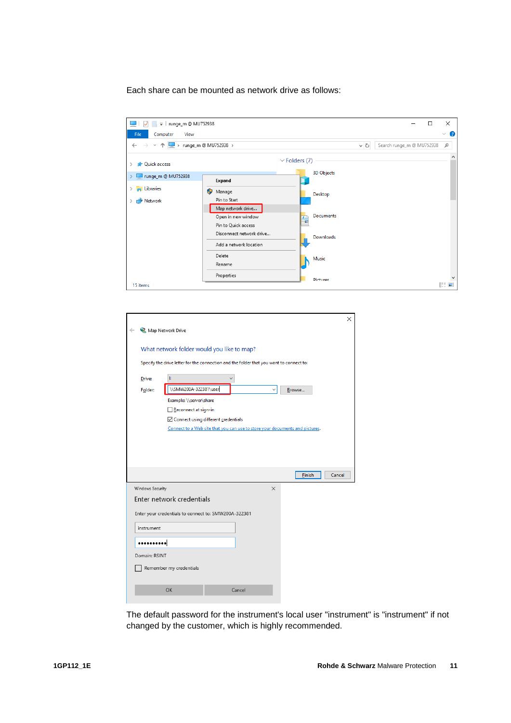Each share can be mounted as network drive as follows:

| $\frac{1}{2}$ = runge_m @ MU752938<br>▽<br><b>Contract of the Contract of the Contract</b> |                                                                |                                            | □                         | ×                   |
|--------------------------------------------------------------------------------------------|----------------------------------------------------------------|--------------------------------------------|---------------------------|---------------------|
| File<br>Computer<br>View                                                                   |                                                                |                                            |                           | Ø<br>$\checkmark$   |
| $\leftarrow$ $\rightarrow$<br>个<br>$\checkmark$                                            | > runge_m @ MU752938 >                                         | $\sim$ 0                                   | Search runge_m @ MU752938 | ٩                   |
| <b>Cuick access</b>                                                                        |                                                                | $\vee$ Folders (7)                         |                           | $\land$             |
| Tunge_m @ MU752938                                                                         | Expand                                                         | <b>3D Objects</b>                          |                           |                     |
| <b>Exercise</b><br>∸<br>Network                                                            | О<br>Manage<br>Pin to Start                                    | Desktop                                    |                           |                     |
|                                                                                            | Map network drive<br>Open in new window<br>Pin to Quick access | <b>Documents</b><br>$A = \frac{D}{2}$<br>Ŧ |                           |                     |
|                                                                                            | Disconnect network drive<br>Add a network location             | <b>Downloads</b>                           |                           |                     |
|                                                                                            | Delete<br>Rename                                               | Music                                      |                           |                     |
| 15 items                                                                                   | Properties                                                     | <b>Pictures</b>                            |                           | $\checkmark$<br>駐 日 |
|                                                                                            |                                                                |                                            |                           |                     |

|                   | ×                                                                                       |
|-------------------|-----------------------------------------------------------------------------------------|
| Map Network Drive |                                                                                         |
|                   | What network folder would you like to map?                                              |
|                   | Specify the drive letter for the connection and the folder that you want to connect to: |
| Drive:            | Ŀ                                                                                       |
| Folder:           | \\SMW200A-322381\user<br>Browse                                                         |
|                   | Example: \\server\share                                                                 |
|                   | Reconnect at sign-in                                                                    |
|                   | Connect using different credentials                                                     |
|                   | Connect to a Web site that you can use to store your documents and pictures.            |
|                   |                                                                                         |
|                   |                                                                                         |
|                   |                                                                                         |
|                   | Einish<br>Cancel                                                                        |
| Windows Security  | $\times$                                                                                |
|                   | Enter network credentials                                                               |
|                   |                                                                                         |
|                   | Enter your credentials to connect to: SMW200A-322381                                    |
| instrument        |                                                                                         |
|                   |                                                                                         |
| Domain: RSINT     |                                                                                         |
|                   | Remember my credentials                                                                 |
|                   |                                                                                         |
|                   | OK<br>Cancel                                                                            |

The default password for the instrument's local user "instrument" is "instrument" if not changed by the customer, which is highly recommended.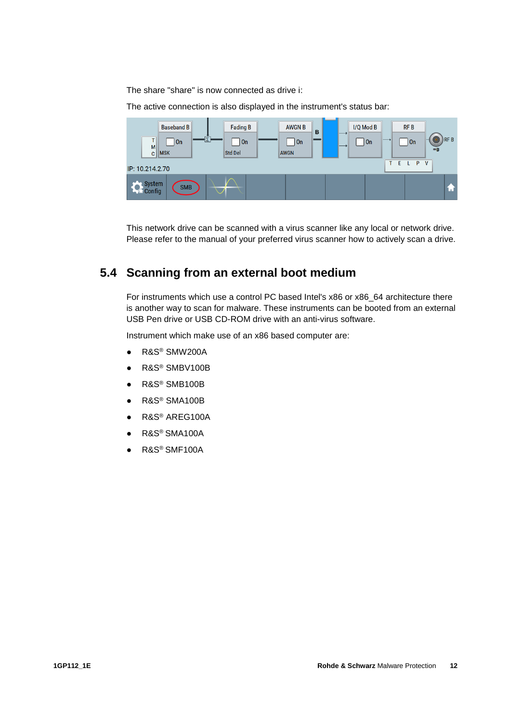The share "share" is now connected as drive i:

The active connection is also displayed in the instrument's status bar:



<span id="page-11-0"></span>This network drive can be scanned with a virus scanner like any local or network drive. Please refer to the manual of your preferred virus scanner how to actively scan a drive.

### **5.4 Scanning from an external boot medium**

For instruments which use a control PC based Intel's x86 or x86\_64 architecture there is another way to scan for malware. These instruments can be booted from an external USB Pen drive or USB CD-ROM drive with an anti-virus software.

Instrument which make use of an x86 based computer are:

- R&S<sup>®</sup> SMW200A
- R&S<sup>®</sup> SMBV100B
- R&S<sup>®</sup> SMB100B
- R&S<sup>®</sup> SMA100B
- R&S<sup>®</sup> AREG100A
- R&S<sup>®</sup> SMA100A
- R&S<sup>®</sup> SMF100A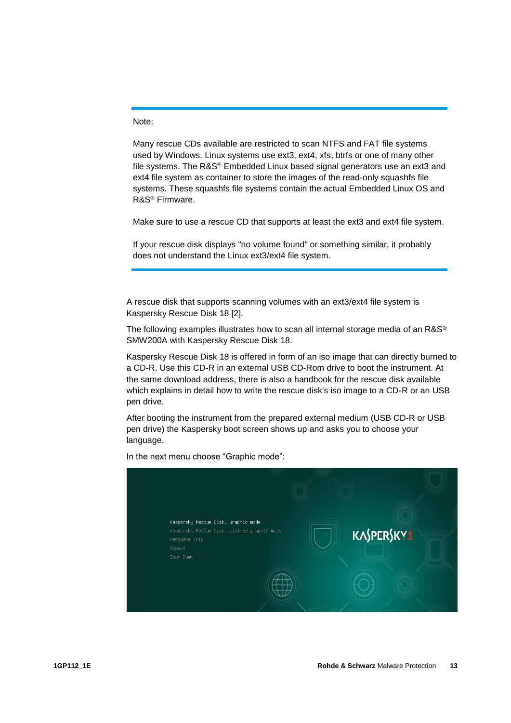Note:

Many rescue CDs available are restricted to scan NTFS and FAT file systems used by Windows. Linux systems use ext3, ext4, xfs, btrfs or one of many other file systems. The R&S® Embedded Linux based signal generators use an ext3 and ext4 file system as container to store the images of the read-only squashfs file systems. These squashfs file systems contain the actual Embedded Linux OS and R&S® Firmware.

Make sure to use a rescue CD that supports at least the ext3 and ext4 file system.

If your rescue disk displays "no volume found" or something similar, it probably does not understand the Linux ext3/ext4 file system.

A rescue disk that supports scanning volumes with an ext3/ext4 file system is Kaspersky Rescue Disk 18 [2].

The following examples illustrates how to scan all internal storage media of an R&S® SMW200A with Kaspersky Rescue Disk 18.

Kaspersky Rescue Disk 18 is offered in form of an iso image that can directly burned to a CD-R. Use this CD-R in an external USB CD-Rom drive to boot the instrument. At the same download address, there is also a handbook for the rescue disk available which explains in detail how to write the rescue disk's iso image to a CD-R or an USB pen drive.

After booting the instrument from the prepared external medium (USB CD-R or USB pen drive) the Kaspersky boot screen shows up and asks you to choose your language.



In the next menu choose "Graphic mode":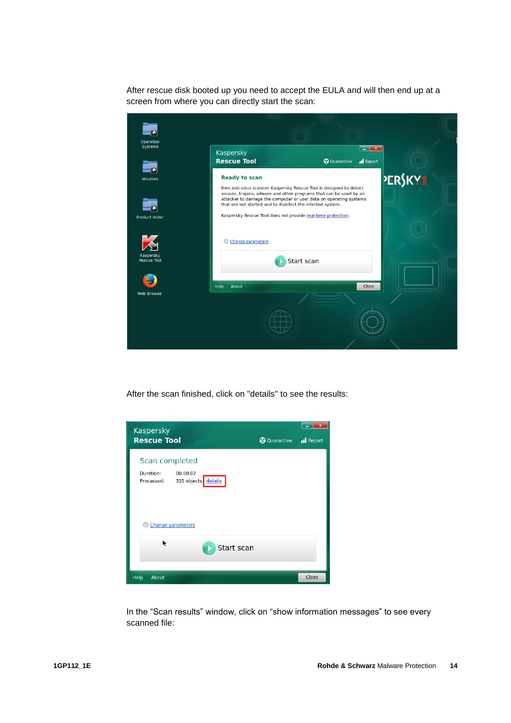After rescue disk booted up you need to accept the EULA and will then end up at a screen from where you can directly start the scan:

| Systems                  | Kaspersky<br><b>Rescue Tool</b>                                                                                                                                                                                                                                              | <b>@</b> Quarantine | $\sim$ $\sim$ $\sim$<br><b>Il</b> Report |         |
|--------------------------|------------------------------------------------------------------------------------------------------------------------------------------------------------------------------------------------------------------------------------------------------------------------------|---------------------|------------------------------------------|---------|
| Volumes                  | <b>Ready to scan</b>                                                                                                                                                                                                                                                         |                     |                                          |         |
|                          | Free anti-virus scanner Kaspersky Rescue Tool is designed to detect<br>viruses, trojans, adware and other programs that can be used by an<br>attacker to damage the computer or user data on operating systems<br>that are not started and to disinfect the infected system. |                     |                                          | PERSKYS |
| Product folder           | Kaspersky Rescue Tool does not provide real-time protection.                                                                                                                                                                                                                 |                     |                                          |         |
|                          | Change parameters<br>€                                                                                                                                                                                                                                                       |                     |                                          |         |
| Kaspersky<br>Rescue Tool |                                                                                                                                                                                                                                                                              | Start scan          |                                          |         |
|                          | About<br>Help                                                                                                                                                                                                                                                                |                     | Close                                    |         |
| Web Browser              |                                                                                                                                                                                                                                                                              |                     |                                          |         |
|                          |                                                                                                                                                                                                                                                                              |                     |                                          |         |

After the scan finished, click on "details" to see the results:



In the "Scan results" window, click on "show information messages" to see every scanned file: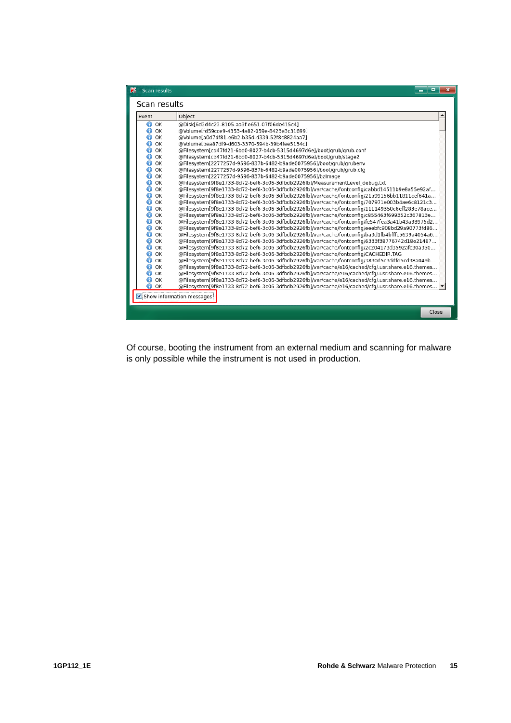| Scan results<br>K | $\Box$<br>-                                                                                        |
|-------------------|----------------------------------------------------------------------------------------------------|
| Scan results      |                                                                                                    |
| Event             | Object                                                                                             |
| $\bullet$ ok      | @Disk[6d3d4c23-8105-aa3f-e651-07f06de415c4]                                                        |
| OK<br>Ð           | @Volume[fd59cce9-4353-4a82-059e-8423e3c31699]                                                      |
| OK<br>⋒           | @Volume[a0d7df81-e6b2-b35d-d339-52f8c8824aa7]                                                      |
| ⋒<br>OK           | @Volume[bea87df9-d603-3370-594b-39b4fee5134c]                                                      |
| ⋒<br>OK           | @Filesystem[cd47fd21-6bd0-8027-b4cb-5315d4697d6e]/boot/grub/grub.conf                              |
| ⋒<br>OK           | @Filesystem[cd47fd21-6bd0-8027-b4cb-5315d4697d6e]/boot/grub/stage2                                 |
| ⋒<br>OK           | @Filesystem[2277257d-9596-837b-6482-b9ade0075956]/boot/grub/grubenv                                |
| ⋒<br>OK           | @Filesystem[2277257d-9596-837b-6482-b9ade0075956]/boot/grub/grub.cfg                               |
| OK<br>⋒           | @Filesystem[2277257d-9596-837b-6482-b9ade0075956]/bzImage                                          |
| OK<br>Ð           | @Filesystem[9f8e1733-8d72-bef6-3c06-3dfbdb2926fb]/MeasurementLevel_debug.txt                       |
| OK<br>Ð           | @Filesystem[9f8e1733-8d72-bef6-3c06-3dfbdb2926fb]/var/cache/fontconfig/cabbd14511b9e8a55e92af      |
| OK<br>⋒           | @Filesystem[9f8e1733-8d72-bef6-3c06-3dfbdb2926fb]/var/cache/fontconfig/21a99156bb11811cef641a      |
| OK<br>⋒           | @Filesystem[9f8e1733-8d72-bef6-3c06-3dfbdb2926fb]/var/cache/fontconfig/707971e003b4ae6c8121c3      |
| OK<br>⋒           | @Filesystem[9f8e1733-8d72-bef6-3c06-3dfbdb2926fb]/var/cache/fontconfig/111149350c6eff283e78ace     |
| ⋒<br>OK           | @Filesystem[9f8e1733-8d72-bef6-3c06-3dfbdb2926fb]/var/cache/fontconfig/c855463f699352c367813e      |
| OK<br>⋒           | @Filesystem[9f8e1733-8d72-bef6-3c06-3dfbdb2926fb]/var/cache/fontconfig/fe547fea3a41b43a38975d2     |
| OK<br>⋒           | @Filesystem[9f8e1733-8d72-bef6-3c06-3dfbdb2926fb]/var/cache/fontconfig/eeebfc908bd29a90773fd86     |
| OK<br>⋒           | @Filesystem[9f8e1733-8d72-bef6-3c06-3dfbdb2926fb]/var/cache/fontconfig/ba3d1fb4bfffc5639a4054a6    |
| OK<br>⋒           | @Filesystem[9f8e1733-8d72-bef6-3c06-3dfbdb2926fb]/var/cache/fontconfig/6333f38776742d18e21467      |
| OK<br>⋒           | @Filesystem[9f8e1733-8d72-bef6-3c06-3dfbdb2926fb]/var/cache/fontconfig/2c204173d3592afc30a350      |
| ⋒<br>OK           | @Filesystem[9f8e1733-8d72-bef6-3c06-3dfbdb2926fb]/var/cache/fontconfig/CACHEDIR.TAG                |
| ⋒<br>OK           | @Filesystem[9f8e1733-8d72-bef6-3c06-3dfbdb2926fb]/var/cache/fontconfig/3830d5c3ddfd5cd38a049b      |
| ⋒<br>OK           | @Filesystem[9f8e1733-8d72-bef6-3c06-3dfbdb2926fb]/var/cache/e16/cached/cfq/.usr.share.e16.themes   |
| OK<br>⋒           | @Filesystem[9f8e1733-8d72-bef6-3c06-3dfbdb2926fb]/var/cache/e16/cached/cfq/.usr.share.e16.themes   |
| OK<br>⋒           | @Filesystem[9f8e1733-8d72-bef6-3c06-3dfbdb2926fb]/var/cache/e16/cached/cfq/.usr.share.e16.themes   |
| A<br>OK           | @Filesystem[9f8e1733-8d72-bef6-3c06-3dfbdb2926fb]/var/cache/e16/cached/cfq/.usr.share.e16.themes ▼ |
|                   | Show information messages                                                                          |
|                   | Close                                                                                              |

Of course, booting the instrument from an external medium and scanning for malware is only possible while the instrument is not used in production.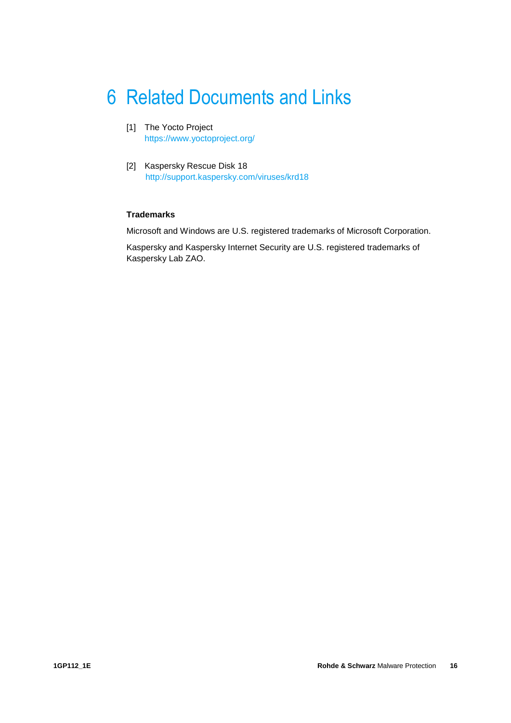# <span id="page-15-0"></span>6 Related Documents and Links

- [1] The Yocto Project <https://www.yoctoproject.org/>
- [2] Kaspersky Rescue Disk 18 [http://support.kaspersky.com/v](http://support.kaspersky.com/)iruses/krd18

#### **Trademarks**

Microsoft and Windows are U.S. registered trademarks of Microsoft Corporation.

Kaspersky and Kaspersky Internet Security are U.S. registered trademarks of Kaspersky Lab ZAO.